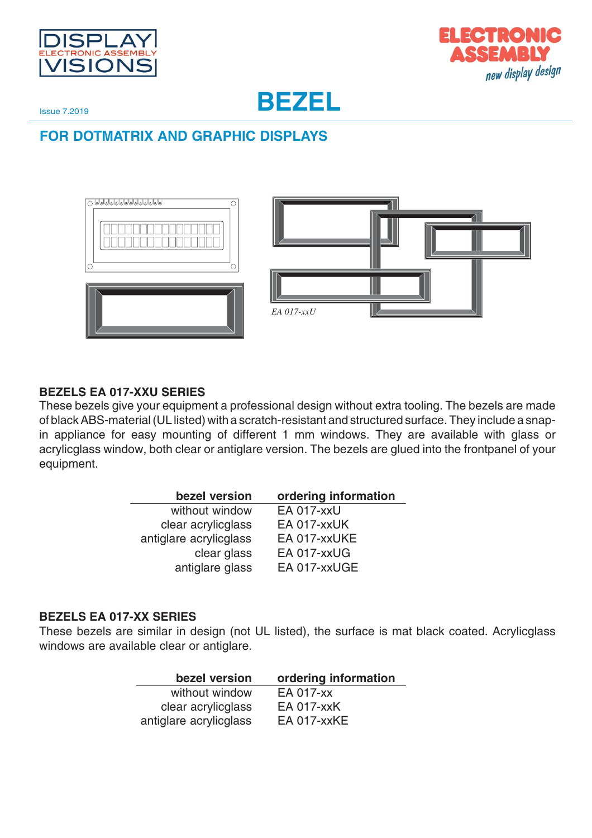



**BEZEL**

Issue 7.2019

**FOR DOTMATRIX AND GRAPHIC DISPLAYS**



#### **BEZELS EA 017-XXU SERIES**

These bezels give your equipment a professional design without extra tooling. The bezels are made of black ABS-material (UL listed) with a scratch-resistant and structured surface. They include a snapin appliance for easy mounting of different 1 mm windows. They are available with glass or acrylicglass window, both clear or antiglare version. The bezels are glued into the frontpanel of your equipment.

| bezel version          | ordering information |
|------------------------|----------------------|
| without window         | <b>EA 017-xxU</b>    |
| clear acrylicglass     | EA 017-xxUK          |
| antiglare acrylicglass | EA 017-xxUKE         |
| clear glass            | EA 017-xxUG          |
| antiglare glass        | EA 017-xxUGE         |

#### **BEZELS EA 017-XX SERIES**

These bezels are similar in design (not UL listed), the surface is mat black coated. Acrylicglass windows are available clear or antiglare.

| bezel version          | ordering information |
|------------------------|----------------------|
| without window         | EA 017-xx            |
| clear acrylicglass     | <b>EA 017-xxK</b>    |
| antiglare acrylicglass | <b>EA 017-xxKE</b>   |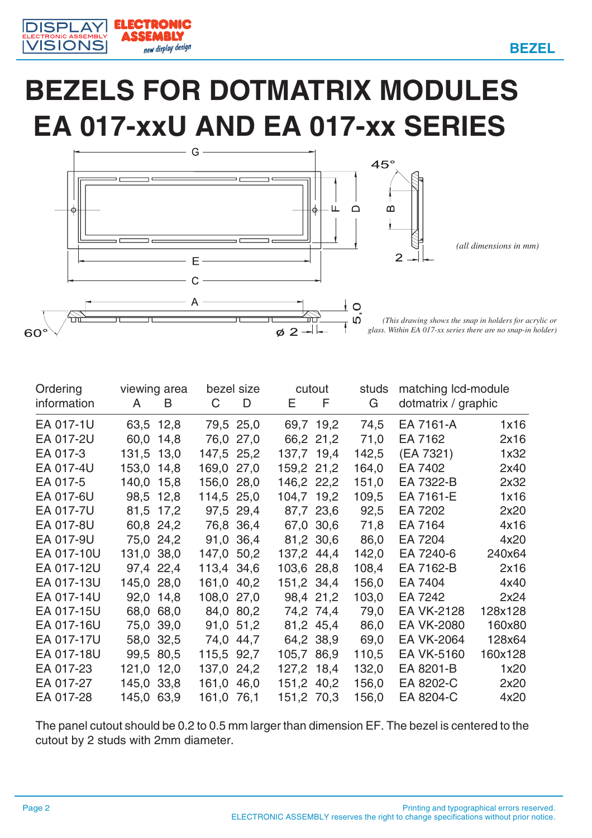

EMRLY

new display design

### **BEZELS FOR DOTMATRIX MODULES EA 017-xxU AND EA 017-xx SERIES**



| Ordering    |              | viewing area |            | bezel size |            | cutout    | studs | matching Icd-module |         |
|-------------|--------------|--------------|------------|------------|------------|-----------|-------|---------------------|---------|
| information | $\mathsf{A}$ | B            | C          | D          | E.         | F         | G     | dotmatrix / graphic |         |
| EA 017-1U   | 63,5 12,8    |              |            | 79,5 25,0  |            | 69,7 19,2 | 74,5  | EA 7161-A           | 1x16    |
| EA 017-2U   | 60,0 14,8    |              |            | 76,0 27,0  |            | 66,2 21,2 | 71,0  | EA 7162             | 2x16    |
| EA 017-3    | 131,5 13,0   |              | 147,5 25,2 |            | 137,7 19,4 |           | 142,5 | (EA 7321)           | 1x32    |
| EA 017-4U   | 153,0 14,8   |              | 169,0 27,0 |            | 159,2 21,2 |           | 164,0 | EA 7402             | 2x40    |
| EA 017-5    | 140,0 15,8   |              | 156,0 28,0 |            | 146,2 22,2 |           | 151,0 | EA 7322-B           | 2x32    |
| EA 017-6U   | 98,5 12,8    |              | 114,5 25,0 |            | 104,7 19,2 |           | 109,5 | EA 7161-E           | 1x16    |
| EA 017-7U   | 81,5 17,2    |              |            | 97,5 29,4  |            | 87,7 23,6 | 92,5  | EA 7202             | 2x20    |
| EA 017-8U   | 60,8 24,2    |              |            | 76,8 36,4  |            | 67,0 30,6 | 71,8  | EA 7164             | 4x16    |
| EA 017-9U   | 75,0 24,2    |              |            | 91,0 36,4  |            | 81,2 30,6 | 86,0  | EA 7204             | 4x20    |
| EA 017-10U  | 131,0 38,0   |              | 147,0 50,2 |            | 137,2 44,4 |           | 142,0 | EA 7240-6           | 240x64  |
| EA 017-12U  | 97,4 22,4    |              | 113,4 34,6 |            | 103,6 28,8 |           | 108,4 | EA 7162-B           | 2x16    |
| EA 017-13U  | 145,0 28,0   |              | 161,0 40,2 |            | 151,2 34,4 |           | 156,0 | EA 7404             | 4x40    |
| EA 017-14U  | 92,0 14,8    |              | 108,0 27,0 |            |            | 98,4 21,2 | 103,0 | EA 7242             | 2x24    |
| EA 017-15U  | 68,0 68,0    |              |            | 84,0 80,2  |            | 74,2 74,4 | 79,0  | <b>EA VK-2128</b>   | 128x128 |
| EA 017-16U  | 75,0 39,0    |              |            | 91,0 51,2  |            | 81,2 45,4 | 86,0  | <b>EA VK-2080</b>   | 160x80  |
| EA 017-17U  | 58,0 32,5    |              |            | 74,0 44,7  |            | 64,2 38,9 | 69,0  | <b>EA VK-2064</b>   | 128x64  |
| EA 017-18U  | 99,5 80,5    |              | 115,5 92,7 |            | 105,7 86,9 |           | 110,5 | EA VK-5160          | 160x128 |
| EA 017-23   | 121,0 12,0   |              | 137,0 24,2 |            | 127,2 18,4 |           | 132,0 | EA 8201-B           | 1x20    |
| EA 017-27   | 145,0 33,8   |              | 161,0 46,0 |            | 151,2 40,2 |           | 156,0 | EA 8202-C           | 2x20    |
| EA 017-28   | 145,0 63,9   |              | 161,0 76,1 |            | 151,2 70,3 |           | 156,0 | EA 8204-C           | 4x20    |

The panel cutout should be 0.2 to 0.5 mm larger than dimension EF. The bezel is centered to the cutout by 2 studs with 2mm diameter.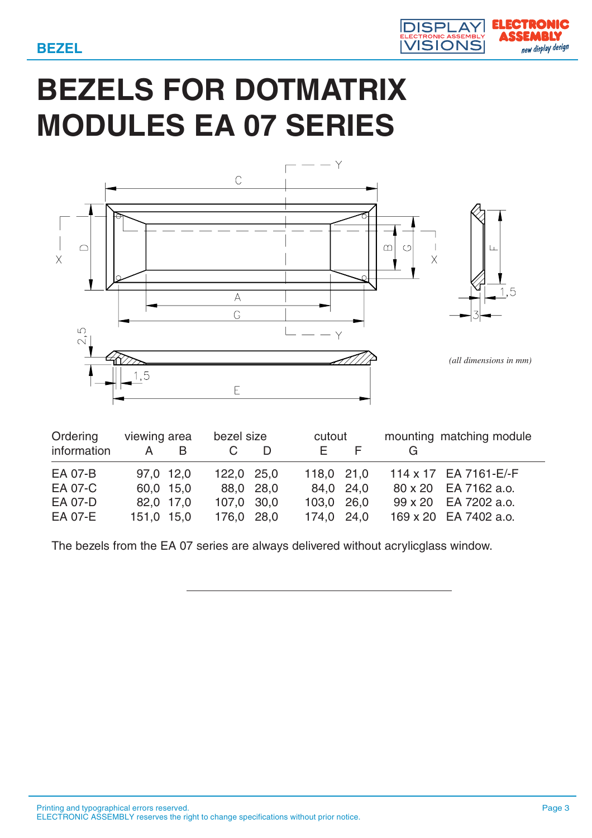

## **BEZELS FOR DOTMATRIX MODULES EA 07 SERIES**



| Ordering    | viewing area |   | bezel size |  | cutout     |  | mounting matching module |
|-------------|--------------|---|------------|--|------------|--|--------------------------|
| information | A            | B |            |  | E.         |  |                          |
| EA 07-B     | 97,0 12,0    |   | 122,0 25,0 |  | 118,0 21,0 |  | 114 x 17 EA 7161-E/-F    |
| EA 07-C     | 60,0 15,0    |   | 88,0 28,0  |  | 84,0 24,0  |  | 80 x 20 EA 7162 a.o.     |
| EA 07-D     | 82,0 17,0    |   | 107,0 30,0 |  | 103,0 26,0 |  | 99 x 20 EA 7202 a.o.     |
| EA 07-E     | 151,0 15,0   |   | 176,0 28,0 |  | 174,0 24,0 |  | 169 x 20 EA 7402 a.o.    |

The bezels from the EA 07 series are always delivered without acrylicglass window.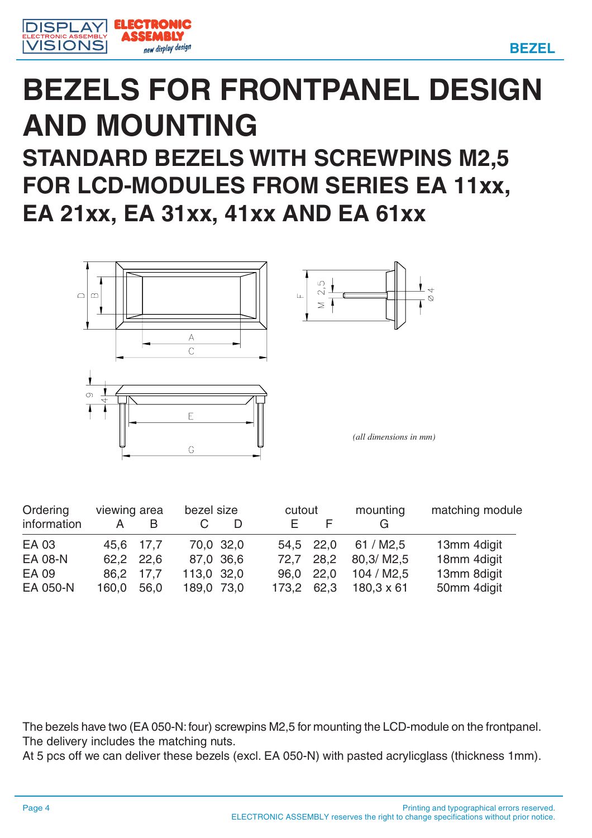



### **BEZELS FOR FRONTPANEL DESIGN AND MOUNTING STANDARD BEZELS WITH SCREWPINS M2,5 FOR LCD-MODULES FROM SERIES EA 11xx,**

**EA 21xx, EA 31xx, 41xx AND EA 61xx**



| Ordering    | viewing area |           |            | bezel size |       | cutout    | mounting          | matching module |  |
|-------------|--------------|-----------|------------|------------|-------|-----------|-------------------|-----------------|--|
| information |              | B         |            |            |       |           |                   |                 |  |
| EA 03       |              | 45.6 17.7 |            | 70,0 32,0  |       | 54.5 22,0 | 61 / M2.5         | 13mm 4digit     |  |
| EA 08-N     |              | 62.2 22.6 |            | 87,0 36,6  | 72.7  | 28,2      | 80.3/M2.5         | 18mm 4digit     |  |
| EA 09       |              | 86,2 17,7 | 113,0 32,0 |            | 96.0  | 22,0      | 104 / M2.5        | 13mm 8digit     |  |
| EA 050-N    | 160,0        | 56,0      | 189,0 73,0 |            | 173,2 | 62,3      | $180,3 \times 61$ | 50mm 4digit     |  |

The bezels have two (EA 050-N: four) screwpins M2,5 for mounting the LCD-module on the frontpanel. The delivery includes the matching nuts.

At 5 pcs off we can deliver these bezels (excl. EA 050-N) with pasted acrylicglass (thickness 1mm).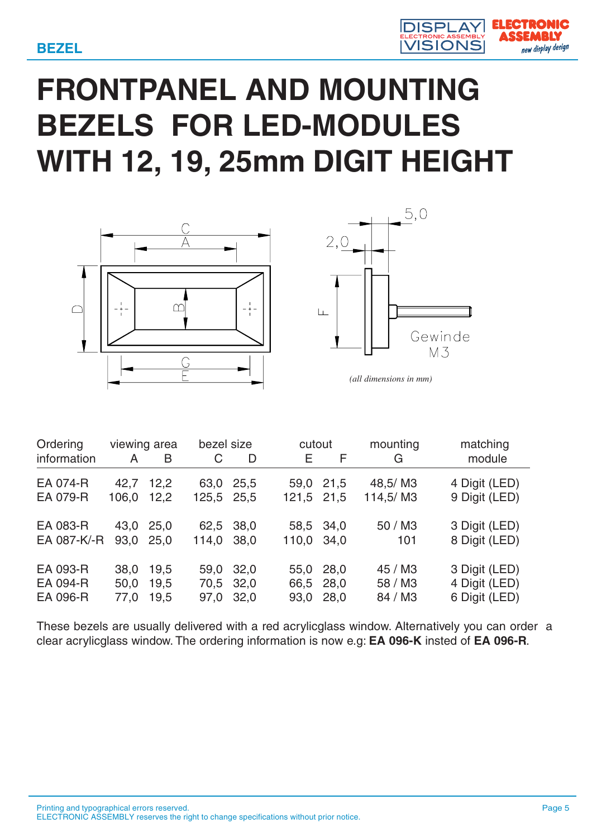

# **FRONTPANEL AND MOUNTING BEZELS FOR LED-MODULES WITH 12, 19, 25mm DIGIT HEIGHT**





*(all dimensions in mm)*

|       |      |                                                |   |                                                                                                         |   | mounting                                                                                  | matching      |
|-------|------|------------------------------------------------|---|---------------------------------------------------------------------------------------------------------|---|-------------------------------------------------------------------------------------------|---------------|
| A     | B    | C                                              | D | Е.                                                                                                      | F | G                                                                                         | module        |
|       | 12,2 |                                                |   |                                                                                                         |   | 48,5/M3                                                                                   | 4 Digit (LED) |
| 106,0 | 12,2 |                                                |   |                                                                                                         |   | 114,5/M3                                                                                  | 9 Digit (LED) |
|       |      |                                                |   |                                                                                                         |   | 50 / M3                                                                                   | 3 Digit (LED) |
|       |      |                                                |   |                                                                                                         |   | 101                                                                                       | 8 Digit (LED) |
| 38,0  | 19,5 |                                                |   | 55,0                                                                                                    |   | 45 / M3                                                                                   | 3 Digit (LED) |
| 50,0  | 19,5 |                                                |   |                                                                                                         |   | 58 / M3                                                                                   | 4 Digit (LED) |
| 77,0  | 19,5 |                                                |   | 93,0                                                                                                    |   | 84 / M3                                                                                   | 6 Digit (LED) |
|       |      | viewing area<br>42,7<br>43,0 25,0<br>93.0 25.0 |   | bezel size<br>63,0 25,5<br>125,5 25,5<br>62,5 38,0<br>114,0 38,0<br>59,0 32,0<br>70,5 32,0<br>97,0 32,0 |   | cutout<br>59,0 21,5<br>121,5 21,5<br>58,5 34,0<br>110,0 34,0<br>28,0<br>66,5 28,0<br>28,0 |               |

These bezels are usually delivered with a red acrylicglass window. Alternatively you can order a clear acrylicglass window. The ordering information is now e.g: **EA 096-K** insted of **EA 096-R**.